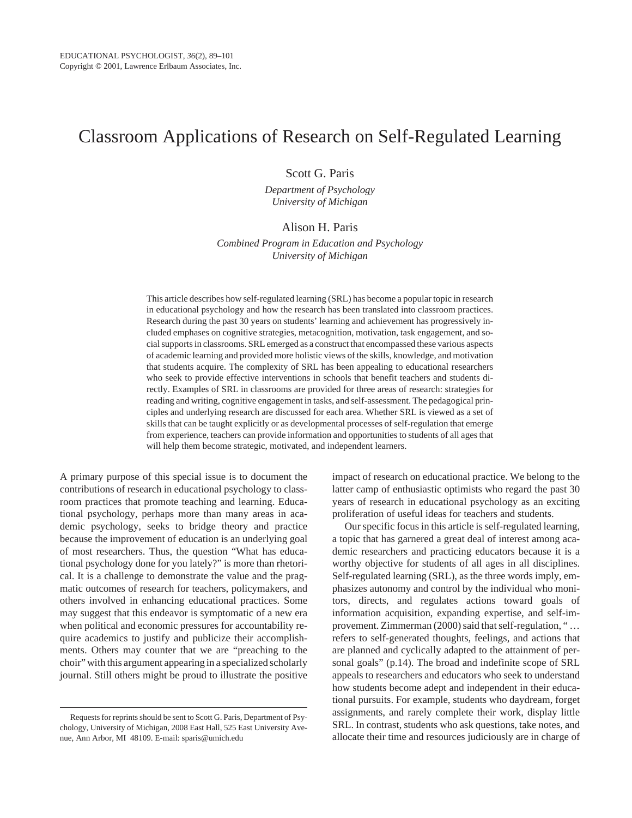# Classroom Applications of Research on Self-Regulated Learning

Scott G. Paris

*Department of Psychology University of Michigan*

## Alison H. Paris

*Combined Program in Education and Psychology University of Michigan*

This article describes how self-regulated learning (SRL) has become a popular topic in research in educational psychology and how the research has been translated into classroom practices. Research during the past 30 years on students' learning and achievement has progressively included emphases on cognitive strategies, metacognition, motivation, task engagement, and social supports in classrooms. SRL emerged as a construct that encompassed these various aspects of academic learning and provided more holistic views of the skills, knowledge, and motivation that students acquire. The complexity of SRL has been appealing to educational researchers who seek to provide effective interventions in schools that benefit teachers and students directly. Examples of SRL in classrooms are provided for three areas of research: strategies for reading and writing, cognitive engagement in tasks, and self-assessment. The pedagogical principles and underlying research are discussed for each area. Whether SRL is viewed as a set of skills that can be taught explicitly or as developmental processes of self-regulation that emerge from experience, teachers can provide information and opportunities to students of all ages that will help them become strategic, motivated, and independent learners.

A primary purpose of this special issue is to document the contributions of research in educational psychology to classroom practices that promote teaching and learning. Educational psychology, perhaps more than many areas in academic psychology, seeks to bridge theory and practice because the improvement of education is an underlying goal of most researchers. Thus, the question "What has educational psychology done for you lately?" is more than rhetorical. It is a challenge to demonstrate the value and the pragmatic outcomes of research for teachers, policymakers, and others involved in enhancing educational practices. Some may suggest that this endeavor is symptomatic of a new era when political and economic pressures for accountability require academics to justify and publicize their accomplishments. Others may counter that we are "preaching to the choir" with this argument appearing in a specialized scholarly journal. Still others might be proud to illustrate the positive

Requests for reprints should be sent to Scott G. Paris, Department of Psychology, University of Michigan, 2008 East Hall, 525 East University Avenue, Ann Arbor, MI 48109. E-mail: sparis@umich.edu

impact of research on educational practice. We belong to the latter camp of enthusiastic optimists who regard the past 30 years of research in educational psychology as an exciting proliferation of useful ideas for teachers and students.

Our specific focus in this article is self-regulated learning, a topic that has garnered a great deal of interest among academic researchers and practicing educators because it is a worthy objective for students of all ages in all disciplines. Self-regulated learning (SRL), as the three words imply, emphasizes autonomy and control by the individual who monitors, directs, and regulates actions toward goals of information acquisition, expanding expertise, and self-improvement. Zimmerman (2000) said that self-regulation, " … refers to self-generated thoughts, feelings, and actions that are planned and cyclically adapted to the attainment of personal goals" (p.14). The broad and indefinite scope of SRL appeals to researchers and educators who seek to understand how students become adept and independent in their educational pursuits. For example, students who daydream, forget assignments, and rarely complete their work, display little SRL. In contrast, students who ask questions, take notes, and allocate their time and resources judiciously are in charge of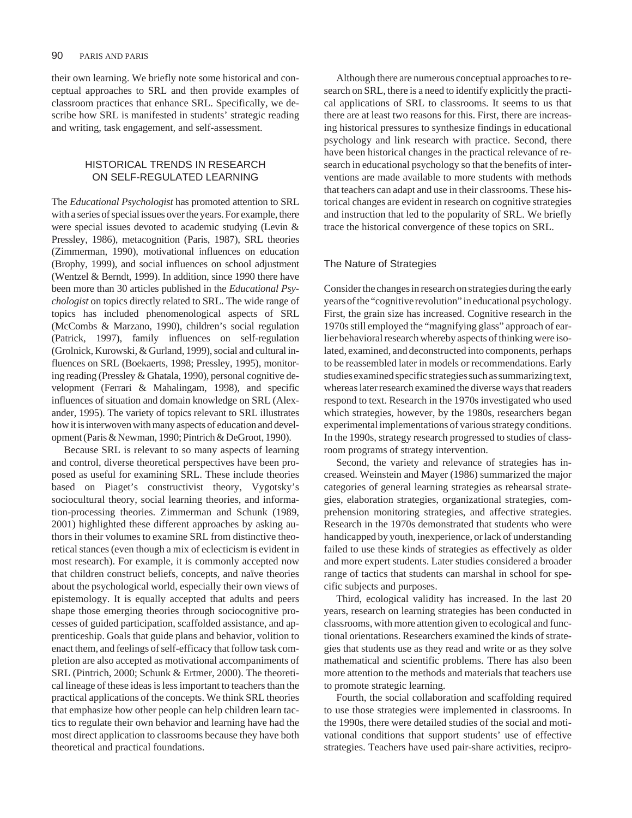their own learning. We briefly note some historical and conceptual approaches to SRL and then provide examples of classroom practices that enhance SRL. Specifically, we describe how SRL is manifested in students' strategic reading and writing, task engagement, and self-assessment.

# HISTORICAL TRENDS IN RESEARCH ON SELF-REGULATED LEARNING

The *Educational Psychologist* has promoted attention to SRL with a series of special issues over the years. For example, there were special issues devoted to academic studying (Levin & Pressley, 1986), metacognition (Paris, 1987), SRL theories (Zimmerman, 1990), motivational influences on education (Brophy, 1999), and social influences on school adjustment (Wentzel & Berndt, 1999). In addition, since 1990 there have been more than 30 articles published in the *Educational Psychologist* on topics directly related to SRL. The wide range of topics has included phenomenological aspects of SRL (McCombs & Marzano, 1990), children's social regulation (Patrick, 1997), family influences on self-regulation (Grolnick, Kurowski, & Gurland, 1999), social and cultural influences on SRL (Boekaerts, 1998; Pressley, 1995), monitoring reading (Pressley & Ghatala, 1990), personal cognitive development (Ferrari & Mahalingam, 1998), and specific influences of situation and domain knowledge on SRL (Alexander, 1995). The variety of topics relevant to SRL illustrates how it is interwoven with many aspects of education and development (Paris & Newman, 1990; Pintrich & DeGroot, 1990).

Because SRL is relevant to so many aspects of learning and control, diverse theoretical perspectives have been proposed as useful for examining SRL. These include theories based on Piaget's constructivist theory, Vygotsky's sociocultural theory, social learning theories, and information-processing theories. Zimmerman and Schunk (1989, 2001) highlighted these different approaches by asking authors in their volumes to examine SRL from distinctive theoretical stances (even though a mix of eclecticism is evident in most research). For example, it is commonly accepted now that children construct beliefs, concepts, and naïve theories about the psychological world, especially their own views of epistemology. It is equally accepted that adults and peers shape those emerging theories through sociocognitive processes of guided participation, scaffolded assistance, and apprenticeship. Goals that guide plans and behavior, volition to enact them, and feelings of self-efficacy that follow task completion are also accepted as motivational accompaniments of SRL (Pintrich, 2000; Schunk & Ertmer, 2000). The theoretical lineage of these ideas is less important to teachers than the practical applications of the concepts. We think SRL theories that emphasize how other people can help children learn tactics to regulate their own behavior and learning have had the most direct application to classrooms because they have both theoretical and practical foundations.

Although there are numerous conceptual approaches to research on SRL, there is a need to identify explicitly the practical applications of SRL to classrooms. It seems to us that there are at least two reasons for this. First, there are increasing historical pressures to synthesize findings in educational psychology and link research with practice. Second, there have been historical changes in the practical relevance of research in educational psychology so that the benefits of interventions are made available to more students with methods that teachers can adapt and use in their classrooms. These historical changes are evident in research on cognitive strategies and instruction that led to the popularity of SRL. We briefly trace the historical convergence of these topics on SRL.

## The Nature of Strategies

Consider the changes in research on strategies during the early years of the "cognitive revolution" in educational psychology. First, the grain size has increased. Cognitive research in the 1970s still employed the "magnifying glass" approach of earlier behavioral research whereby aspects of thinking were isolated, examined, and deconstructed into components, perhaps to be reassembled later in models or recommendations. Early studies examined specific strategies such as summarizing text, whereas later research examined the diverse ways that readers respond to text. Research in the 1970s investigated who used which strategies, however, by the 1980s, researchers began experimental implementations of various strategy conditions. In the 1990s, strategy research progressed to studies of classroom programs of strategy intervention.

Second, the variety and relevance of strategies has increased. Weinstein and Mayer (1986) summarized the major categories of general learning strategies as rehearsal strategies, elaboration strategies, organizational strategies, comprehension monitoring strategies, and affective strategies. Research in the 1970s demonstrated that students who were handicapped by youth, inexperience, or lack of understanding failed to use these kinds of strategies as effectively as older and more expert students. Later studies considered a broader range of tactics that students can marshal in school for specific subjects and purposes.

Third, ecological validity has increased. In the last 20 years, research on learning strategies has been conducted in classrooms, with more attention given to ecological and functional orientations. Researchers examined the kinds of strategies that students use as they read and write or as they solve mathematical and scientific problems. There has also been more attention to the methods and materials that teachers use to promote strategic learning.

Fourth, the social collaboration and scaffolding required to use those strategies were implemented in classrooms. In the 1990s, there were detailed studies of the social and motivational conditions that support students' use of effective strategies. Teachers have used pair-share activities, recipro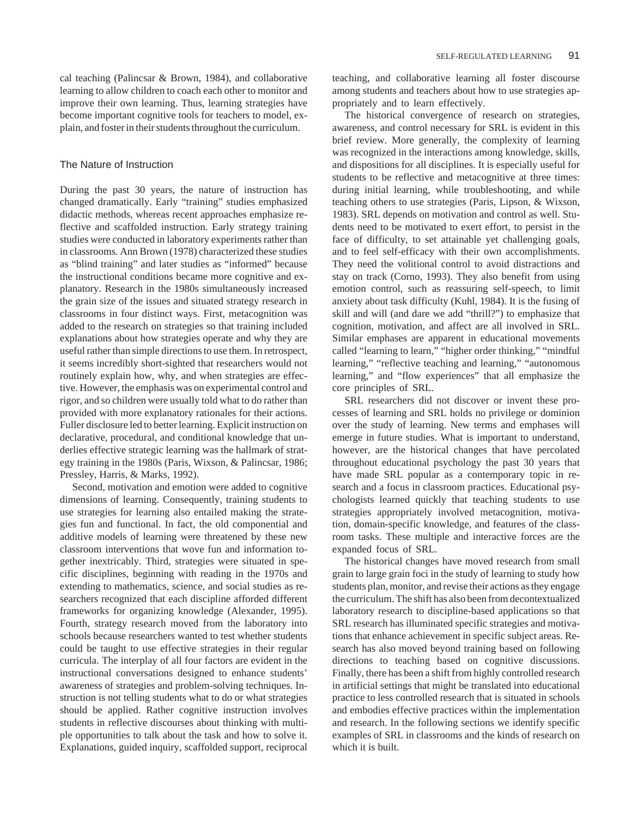cal teaching (Palincsar & Brown, 1984), and collaborative learning to allow children to coach each other to monitor and improve their own learning. Thus, learning strategies have become important cognitive tools for teachers to model, explain, and foster in their students throughout the curriculum.

## The Nature of Instruction

During the past 30 years, the nature of instruction has changed dramatically. Early "training" studies emphasized didactic methods, whereas recent approaches emphasize reflective and scaffolded instruction. Early strategy training studies were conducted in laboratory experiments rather than in classrooms. Ann Brown (1978) characterized these studies as "blind training" and later studies as "informed" because the instructional conditions became more cognitive and explanatory. Research in the 1980s simultaneously increased the grain size of the issues and situated strategy research in classrooms in four distinct ways. First, metacognition was added to the research on strategies so that training included explanations about how strategies operate and why they are useful rather than simple directions to use them. In retrospect, it seems incredibly short-sighted that researchers would not routinely explain how, why, and when strategies are effective. However, the emphasis was on experimental control and rigor, and so children were usually told what to do rather than provided with more explanatory rationales for their actions. Fuller disclosure led to better learning. Explicit instruction on declarative, procedural, and conditional knowledge that underlies effective strategic learning was the hallmark of strategy training in the 1980s (Paris, Wixson, & Palincsar, 1986; Pressley, Harris, & Marks, 1992).

Second, motivation and emotion were added to cognitive dimensions of learning. Consequently, training students to use strategies for learning also entailed making the strategies fun and functional. In fact, the old componential and additive models of learning were threatened by these new classroom interventions that wove fun and information together inextricably. Third, strategies were situated in specific disciplines, beginning with reading in the 1970s and extending to mathematics, science, and social studies as researchers recognized that each discipline afforded different frameworks for organizing knowledge (Alexander, 1995). Fourth, strategy research moved from the laboratory into schools because researchers wanted to test whether students could be taught to use effective strategies in their regular curricula. The interplay of all four factors are evident in the instructional conversations designed to enhance students' awareness of strategies and problem-solving techniques. Instruction is not telling students what to do or what strategies should be applied. Rather cognitive instruction involves students in reflective discourses about thinking with multiple opportunities to talk about the task and how to solve it. Explanations, guided inquiry, scaffolded support, reciprocal teaching, and collaborative learning all foster discourse among students and teachers about how to use strategies appropriately and to learn effectively.

The historical convergence of research on strategies, awareness, and control necessary for SRL is evident in this brief review. More generally, the complexity of learning was recognized in the interactions among knowledge, skills, and dispositions for all disciplines. It is especially useful for students to be reflective and metacognitive at three times: during initial learning, while troubleshooting, and while teaching others to use strategies (Paris, Lipson, & Wixson, 1983). SRL depends on motivation and control as well. Students need to be motivated to exert effort, to persist in the face of difficulty, to set attainable yet challenging goals, and to feel self-efficacy with their own accomplishments. They need the volitional control to avoid distractions and stay on track (Corno, 1993). They also benefit from using emotion control, such as reassuring self-speech, to limit anxiety about task difficulty (Kuhl, 1984). It is the fusing of skill and will (and dare we add "thrill?") to emphasize that cognition, motivation, and affect are all involved in SRL. Similar emphases are apparent in educational movements called "learning to learn," "higher order thinking," "mindful learning," "reflective teaching and learning," "autonomous learning," and "flow experiences" that all emphasize the core principles of SRL.

SRL researchers did not discover or invent these processes of learning and SRL holds no privilege or dominion over the study of learning. New terms and emphases will emerge in future studies. What is important to understand, however, are the historical changes that have percolated throughout educational psychology the past 30 years that have made SRL popular as a contemporary topic in research and a focus in classroom practices. Educational psychologists learned quickly that teaching students to use strategies appropriately involved metacognition, motivation, domain-specific knowledge, and features of the classroom tasks. These multiple and interactive forces are the expanded focus of SRL.

The historical changes have moved research from small grain to large grain foci in the study of learning to study how students plan, monitor, and revise their actions as they engage the curriculum. The shift has also been from decontextualized laboratory research to discipline-based applications so that SRL research has illuminated specific strategies and motivations that enhance achievement in specific subject areas. Research has also moved beyond training based on following directions to teaching based on cognitive discussions. Finally, there has been a shift from highly controlled research in artificial settings that might be translated into educational practice to less controlled research that is situated in schools and embodies effective practices within the implementation and research. In the following sections we identify specific examples of SRL in classrooms and the kinds of research on which it is built.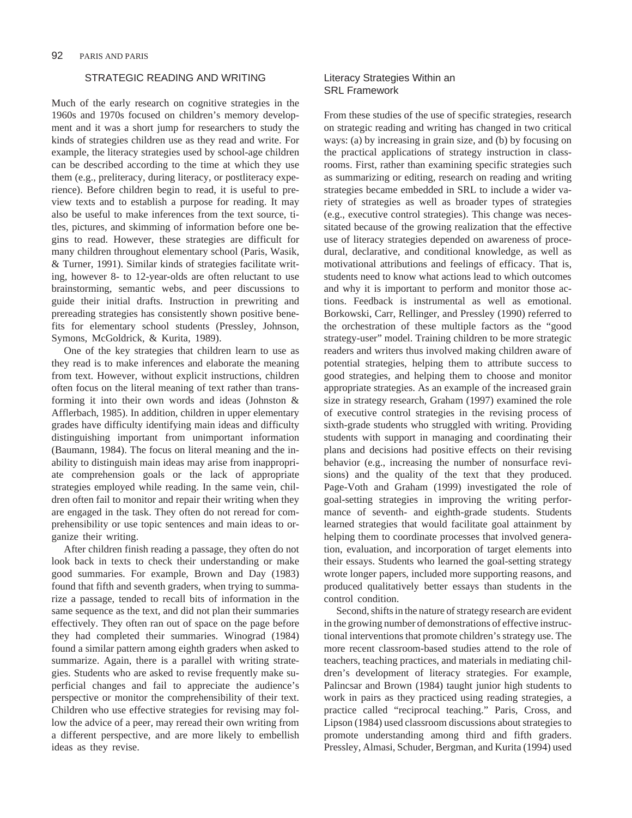## STRATEGIC READING AND WRITING

Much of the early research on cognitive strategies in the 1960s and 1970s focused on children's memory development and it was a short jump for researchers to study the kinds of strategies children use as they read and write. For example, the literacy strategies used by school-age children can be described according to the time at which they use them (e.g., preliteracy, during literacy, or postliteracy experience). Before children begin to read, it is useful to preview texts and to establish a purpose for reading. It may also be useful to make inferences from the text source, titles, pictures, and skimming of information before one begins to read. However, these strategies are difficult for many children throughout elementary school (Paris, Wasik, & Turner, 1991). Similar kinds of strategies facilitate writing, however 8- to 12-year-olds are often reluctant to use brainstorming, semantic webs, and peer discussions to guide their initial drafts. Instruction in prewriting and prereading strategies has consistently shown positive benefits for elementary school students (Pressley, Johnson, Symons, McGoldrick, & Kurita, 1989).

One of the key strategies that children learn to use as they read is to make inferences and elaborate the meaning from text. However, without explicit instructions, children often focus on the literal meaning of text rather than transforming it into their own words and ideas (Johnston & Afflerbach, 1985). In addition, children in upper elementary grades have difficulty identifying main ideas and difficulty distinguishing important from unimportant information (Baumann, 1984). The focus on literal meaning and the inability to distinguish main ideas may arise from inappropriate comprehension goals or the lack of appropriate strategies employed while reading. In the same vein, children often fail to monitor and repair their writing when they are engaged in the task. They often do not reread for comprehensibility or use topic sentences and main ideas to organize their writing.

After children finish reading a passage, they often do not look back in texts to check their understanding or make good summaries. For example, Brown and Day (1983) found that fifth and seventh graders, when trying to summarize a passage, tended to recall bits of information in the same sequence as the text, and did not plan their summaries effectively. They often ran out of space on the page before they had completed their summaries. Winograd (1984) found a similar pattern among eighth graders when asked to summarize. Again, there is a parallel with writing strategies. Students who are asked to revise frequently make superficial changes and fail to appreciate the audience's perspective or monitor the comprehensibility of their text. Children who use effective strategies for revising may follow the advice of a peer, may reread their own writing from a different perspective, and are more likely to embellish ideas as they revise.

## Literacy Strategies Within an SRL Framework

From these studies of the use of specific strategies, research on strategic reading and writing has changed in two critical ways: (a) by increasing in grain size, and (b) by focusing on the practical applications of strategy instruction in classrooms. First, rather than examining specific strategies such as summarizing or editing, research on reading and writing strategies became embedded in SRL to include a wider variety of strategies as well as broader types of strategies (e.g., executive control strategies). This change was necessitated because of the growing realization that the effective use of literacy strategies depended on awareness of procedural, declarative, and conditional knowledge, as well as motivational attributions and feelings of efficacy. That is, students need to know what actions lead to which outcomes and why it is important to perform and monitor those actions. Feedback is instrumental as well as emotional. Borkowski, Carr, Rellinger, and Pressley (1990) referred to the orchestration of these multiple factors as the "good strategy-user" model. Training children to be more strategic readers and writers thus involved making children aware of potential strategies, helping them to attribute success to good strategies, and helping them to choose and monitor appropriate strategies. As an example of the increased grain size in strategy research, Graham (1997) examined the role of executive control strategies in the revising process of sixth-grade students who struggled with writing. Providing students with support in managing and coordinating their plans and decisions had positive effects on their revising behavior (e.g., increasing the number of nonsurface revisions) and the quality of the text that they produced. Page-Voth and Graham (1999) investigated the role of goal-setting strategies in improving the writing performance of seventh- and eighth-grade students. Students learned strategies that would facilitate goal attainment by helping them to coordinate processes that involved generation, evaluation, and incorporation of target elements into their essays. Students who learned the goal-setting strategy wrote longer papers, included more supporting reasons, and produced qualitatively better essays than students in the control condition.

Second, shifts in the nature of strategy research are evident in the growing number of demonstrations of effective instructional interventions that promote children's strategy use. The more recent classroom-based studies attend to the role of teachers, teaching practices, and materials in mediating children's development of literacy strategies. For example, Palincsar and Brown (1984) taught junior high students to work in pairs as they practiced using reading strategies, a practice called "reciprocal teaching." Paris, Cross, and Lipson (1984) used classroom discussions about strategies to promote understanding among third and fifth graders. Pressley, Almasi, Schuder, Bergman, and Kurita (1994) used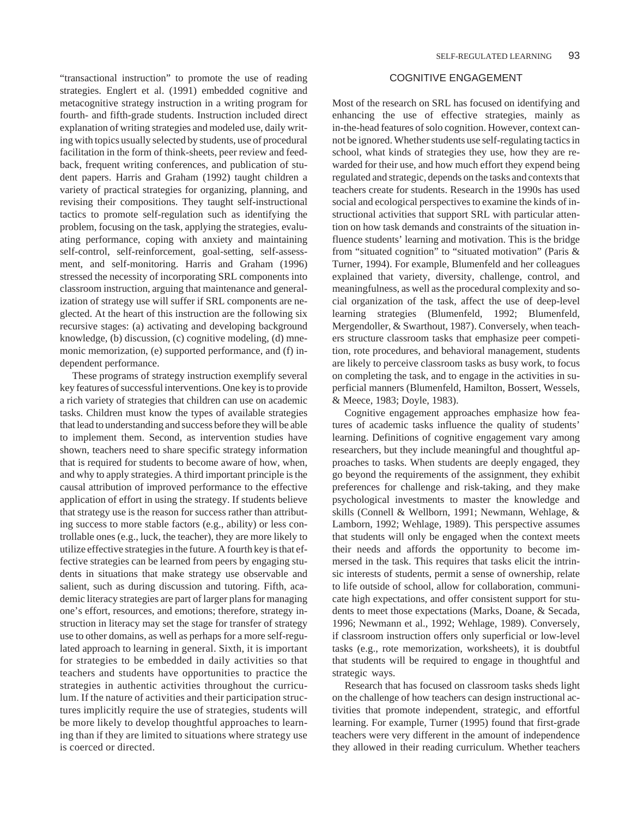"transactional instruction" to promote the use of reading strategies. Englert et al. (1991) embedded cognitive and metacognitive strategy instruction in a writing program for fourth- and fifth-grade students. Instruction included direct explanation of writing strategies and modeled use, daily writing with topics usually selected by students, use of procedural facilitation in the form of think-sheets, peer review and feedback, frequent writing conferences, and publication of student papers. Harris and Graham (1992) taught children a variety of practical strategies for organizing, planning, and revising their compositions. They taught self-instructional tactics to promote self-regulation such as identifying the problem, focusing on the task, applying the strategies, evaluating performance, coping with anxiety and maintaining self-control, self-reinforcement, goal-setting, self-assessment, and self-monitoring. Harris and Graham (1996) stressed the necessity of incorporating SRL components into classroom instruction, arguing that maintenance and generalization of strategy use will suffer if SRL components are neglected. At the heart of this instruction are the following six recursive stages: (a) activating and developing background knowledge, (b) discussion, (c) cognitive modeling, (d) mnemonic memorization, (e) supported performance, and (f) independent performance.

These programs of strategy instruction exemplify several key features of successful interventions. One key is to provide a rich variety of strategies that children can use on academic tasks. Children must know the types of available strategies that lead to understanding and success before they will be able to implement them. Second, as intervention studies have shown, teachers need to share specific strategy information that is required for students to become aware of how, when, and why to apply strategies. A third important principle is the causal attribution of improved performance to the effective application of effort in using the strategy. If students believe that strategy use is the reason for success rather than attributing success to more stable factors (e.g., ability) or less controllable ones (e.g., luck, the teacher), they are more likely to utilize effective strategies in the future. A fourth key is that effective strategies can be learned from peers by engaging students in situations that make strategy use observable and salient, such as during discussion and tutoring. Fifth, academic literacy strategies are part of larger plans for managing one's effort, resources, and emotions; therefore, strategy instruction in literacy may set the stage for transfer of strategy use to other domains, as well as perhaps for a more self-regulated approach to learning in general. Sixth, it is important for strategies to be embedded in daily activities so that teachers and students have opportunities to practice the strategies in authentic activities throughout the curriculum. If the nature of activities and their participation structures implicitly require the use of strategies, students will be more likely to develop thoughtful approaches to learning than if they are limited to situations where strategy use is coerced or directed.

#### COGNITIVE ENGAGEMENT

Most of the research on SRL has focused on identifying and enhancing the use of effective strategies, mainly as in-the-head features of solo cognition. However, context cannot be ignored. Whether students use self-regulating tactics in school, what kinds of strategies they use, how they are rewarded for their use, and how much effort they expend being regulated and strategic, depends on the tasks and contexts that teachers create for students. Research in the 1990s has used social and ecological perspectives to examine the kinds of instructional activities that support SRL with particular attention on how task demands and constraints of the situation influence students' learning and motivation. This is the bridge from "situated cognition" to "situated motivation" (Paris & Turner, 1994). For example, Blumenfeld and her colleagues explained that variety, diversity, challenge, control, and meaningfulness, as well as the procedural complexity and social organization of the task, affect the use of deep-level learning strategies (Blumenfeld, 1992; Blumenfeld, Mergendoller, & Swarthout, 1987). Conversely, when teachers structure classroom tasks that emphasize peer competition, rote procedures, and behavioral management, students are likely to perceive classroom tasks as busy work, to focus on completing the task, and to engage in the activities in superficial manners (Blumenfeld, Hamilton, Bossert, Wessels, & Meece, 1983; Doyle, 1983).

Cognitive engagement approaches emphasize how features of academic tasks influence the quality of students' learning. Definitions of cognitive engagement vary among researchers, but they include meaningful and thoughtful approaches to tasks. When students are deeply engaged, they go beyond the requirements of the assignment, they exhibit preferences for challenge and risk-taking, and they make psychological investments to master the knowledge and skills (Connell & Wellborn, 1991; Newmann, Wehlage, & Lamborn, 1992; Wehlage, 1989). This perspective assumes that students will only be engaged when the context meets their needs and affords the opportunity to become immersed in the task. This requires that tasks elicit the intrinsic interests of students, permit a sense of ownership, relate to life outside of school, allow for collaboration, communicate high expectations, and offer consistent support for students to meet those expectations (Marks, Doane, & Secada, 1996; Newmann et al., 1992; Wehlage, 1989). Conversely, if classroom instruction offers only superficial or low-level tasks (e.g., rote memorization, worksheets), it is doubtful that students will be required to engage in thoughtful and strategic ways.

Research that has focused on classroom tasks sheds light on the challenge of how teachers can design instructional activities that promote independent, strategic, and effortful learning. For example, Turner (1995) found that first-grade teachers were very different in the amount of independence they allowed in their reading curriculum. Whether teachers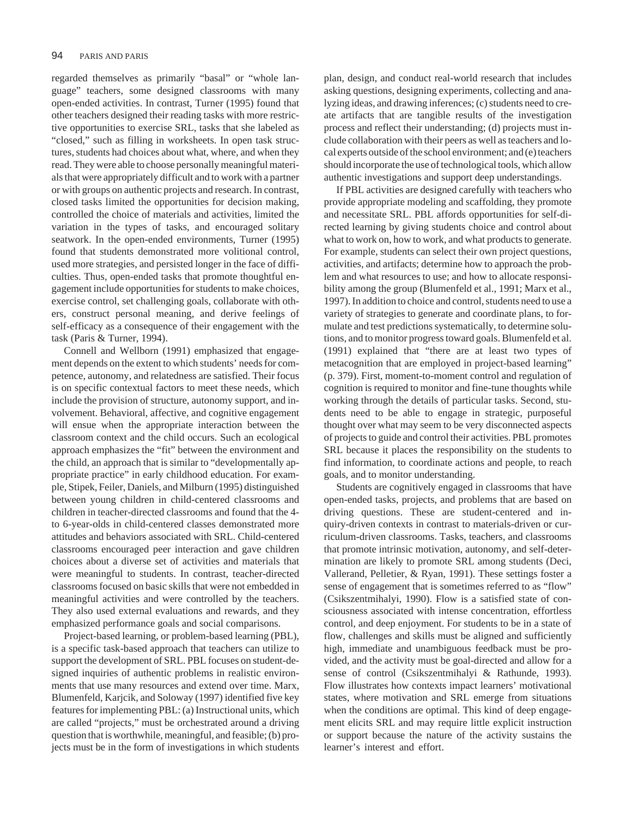regarded themselves as primarily "basal" or "whole language" teachers, some designed classrooms with many open-ended activities. In contrast, Turner (1995) found that other teachers designed their reading tasks with more restrictive opportunities to exercise SRL, tasks that she labeled as "closed," such as filling in worksheets. In open task structures, students had choices about what, where, and when they read. They were able to choose personally meaningful materials that were appropriately difficult and to work with a partner or with groups on authentic projects and research. In contrast, closed tasks limited the opportunities for decision making, controlled the choice of materials and activities, limited the variation in the types of tasks, and encouraged solitary seatwork. In the open-ended environments, Turner (1995) found that students demonstrated more volitional control, used more strategies, and persisted longer in the face of difficulties. Thus, open-ended tasks that promote thoughtful engagement include opportunities for students to make choices, exercise control, set challenging goals, collaborate with others, construct personal meaning, and derive feelings of self-efficacy as a consequence of their engagement with the task (Paris & Turner, 1994).

Connell and Wellborn (1991) emphasized that engagement depends on the extent to which students' needs for competence, autonomy, and relatedness are satisfied. Their focus is on specific contextual factors to meet these needs, which include the provision of structure, autonomy support, and involvement. Behavioral, affective, and cognitive engagement will ensue when the appropriate interaction between the classroom context and the child occurs. Such an ecological approach emphasizes the "fit" between the environment and the child, an approach that is similar to "developmentally appropriate practice" in early childhood education. For example, Stipek, Feiler, Daniels, and Milburn (1995) distinguished between young children in child-centered classrooms and children in teacher-directed classrooms and found that the 4 to 6-year-olds in child-centered classes demonstrated more attitudes and behaviors associated with SRL. Child-centered classrooms encouraged peer interaction and gave children choices about a diverse set of activities and materials that were meaningful to students. In contrast, teacher-directed classrooms focused on basic skills that were not embedded in meaningful activities and were controlled by the teachers. They also used external evaluations and rewards, and they emphasized performance goals and social comparisons.

Project-based learning, or problem-based learning (PBL), is a specific task-based approach that teachers can utilize to support the development of SRL. PBL focuses on student-designed inquiries of authentic problems in realistic environments that use many resources and extend over time. Marx, Blumenfeld, Karjcik, and Soloway (1997) identified five key features for implementing PBL: (a) Instructional units, which are called "projects," must be orchestrated around a driving question that is worthwhile, meaningful, and feasible; (b) projects must be in the form of investigations in which students plan, design, and conduct real-world research that includes asking questions, designing experiments, collecting and analyzing ideas, and drawing inferences; (c) students need to create artifacts that are tangible results of the investigation process and reflect their understanding; (d) projects must include collaboration with their peers as well as teachers and local experts outside of the school environment; and (e) teachers should incorporate the use of technological tools, which allow authentic investigations and support deep understandings.

If PBL activities are designed carefully with teachers who provide appropriate modeling and scaffolding, they promote and necessitate SRL. PBL affords opportunities for self-directed learning by giving students choice and control about what to work on, how to work, and what products to generate. For example, students can select their own project questions, activities, and artifacts; determine how to approach the problem and what resources to use; and how to allocate responsibility among the group (Blumenfeld et al., 1991; Marx et al., 1997). In addition to choice and control, students need to use a variety of strategies to generate and coordinate plans, to formulate and test predictions systematically, to determine solutions, and to monitor progress toward goals. Blumenfeld et al. (1991) explained that "there are at least two types of metacognition that are employed in project-based learning" (p. 379). First, moment-to-moment control and regulation of cognition is required to monitor and fine-tune thoughts while working through the details of particular tasks. Second, students need to be able to engage in strategic, purposeful thought over what may seem to be very disconnected aspects of projects to guide and control their activities. PBL promotes SRL because it places the responsibility on the students to find information, to coordinate actions and people, to reach goals, and to monitor understanding.

Students are cognitively engaged in classrooms that have open-ended tasks, projects, and problems that are based on driving questions. These are student-centered and inquiry-driven contexts in contrast to materials-driven or curriculum-driven classrooms. Tasks, teachers, and classrooms that promote intrinsic motivation, autonomy, and self-determination are likely to promote SRL among students (Deci, Vallerand, Pelletier, & Ryan, 1991). These settings foster a sense of engagement that is sometimes referred to as "flow" (Csikszentmihalyi, 1990). Flow is a satisfied state of consciousness associated with intense concentration, effortless control, and deep enjoyment. For students to be in a state of flow, challenges and skills must be aligned and sufficiently high, immediate and unambiguous feedback must be provided, and the activity must be goal-directed and allow for a sense of control (Csikszentmihalyi & Rathunde, 1993). Flow illustrates how contexts impact learners' motivational states, where motivation and SRL emerge from situations when the conditions are optimal. This kind of deep engagement elicits SRL and may require little explicit instruction or support because the nature of the activity sustains the learner's interest and effort.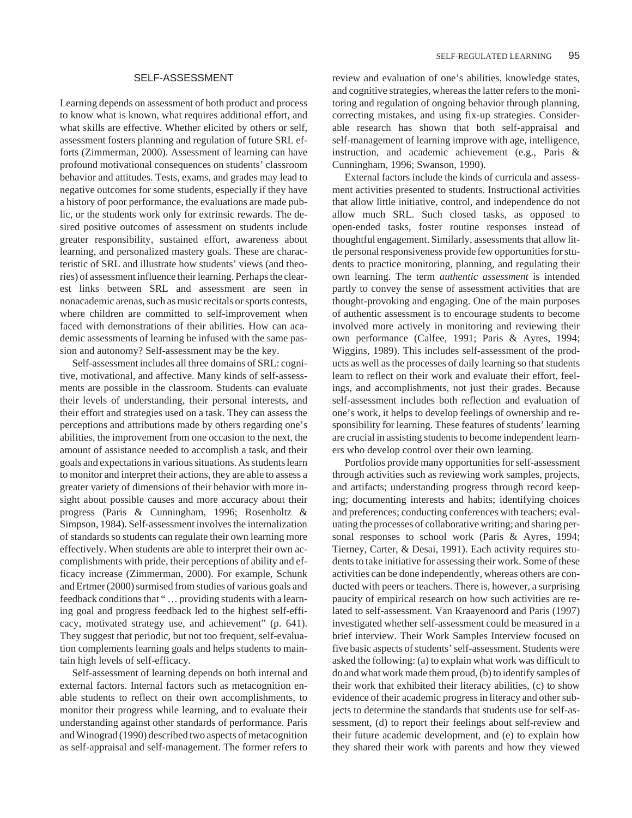Learning depends on assessment of both product and process to know what is known, what requires additional effort, and what skills are effective. Whether elicited by others or self, assessment fosters planning and regulation of future SRL efforts (Zimmerman, 2000). Assessment of learning can have profound motivational consequences on students' classroom behavior and attitudes. Tests, exams, and grades may lead to negative outcomes for some students, especially if they have a history of poor performance, the evaluations are made public, or the students work only for extrinsic rewards. The desired positive outcomes of assessment on students include greater responsibility, sustained effort, awareness about learning, and personalized mastery goals. These are characteristic of SRL and illustrate how students' views (and theories) of assessment influence their learning. Perhaps the clearest links between SRL and assessment are seen in nonacademic arenas, such as music recitals or sports contests, where children are committed to self-improvement when faced with demonstrations of their abilities. How can academic assessments of learning be infused with the same passion and autonomy? Self-assessment may be the key.

Self-assessment includes all three domains of SRL: cognitive, motivational, and affective. Many kinds of self-assessments are possible in the classroom. Students can evaluate their levels of understanding, their personal interests, and their effort and strategies used on a task. They can assess the perceptions and attributions made by others regarding one's abilities, the improvement from one occasion to the next, the amount of assistance needed to accomplish a task, and their goals and expectations in various situations. As students learn to monitor and interpret their actions, they are able to assess a greater variety of dimensions of their behavior with more insight about possible causes and more accuracy about their progress (Paris & Cunningham, 1996; Rosenholtz & Simpson, 1984). Self-assessment involves the internalization of standards so students can regulate their own learning more effectively. When students are able to interpret their own accomplishments with pride, their perceptions of ability and efficacy increase (Zimmerman, 2000). For example, Schunk and Ertmer (2000) surmised from studies of various goals and feedback conditions that " … providing students with a learning goal and progress feedback led to the highest self-efficacy, motivated strategy use, and achievement" (p. 641). They suggest that periodic, but not too frequent, self-evaluation complements learning goals and helps students to maintain high levels of self-efficacy.

Self-assessment of learning depends on both internal and external factors. Internal factors such as metacognition enable students to reflect on their own accomplishments, to monitor their progress while learning, and to evaluate their understanding against other standards of performance. Paris and Winograd (1990) described two aspects of metacognition as self-appraisal and self-management. The former refers to review and evaluation of one's abilities, knowledge states, and cognitive strategies, whereas the latter refers to the monitoring and regulation of ongoing behavior through planning, correcting mistakes, and using fix-up strategies. Considerable research has shown that both self-appraisal and self-management of learning improve with age, intelligence, instruction, and academic achievement (e.g., Paris & Cunningham, 1996; Swanson, 1990).

External factors include the kinds of curricula and assessment activities presented to students. Instructional activities that allow little initiative, control, and independence do not allow much SRL. Such closed tasks, as opposed to open-ended tasks, foster routine responses instead of thoughtful engagement. Similarly, assessments that allow little personal responsiveness provide few opportunities for students to practice monitoring, planning, and regulating their own learning. The term *authentic assessment* is intended partly to convey the sense of assessment activities that are thought-provoking and engaging. One of the main purposes of authentic assessment is to encourage students to become involved more actively in monitoring and reviewing their own performance (Calfee, 1991; Paris & Ayres, 1994; Wiggins, 1989). This includes self-assessment of the products as well as the processes of daily learning so that students learn to reflect on their work and evaluate their effort, feelings, and accomplishments, not just their grades. Because self-assessment includes both reflection and evaluation of one's work, it helps to develop feelings of ownership and responsibility for learning. These features of students' learning are crucial in assisting students to become independent learners who develop control over their own learning.

Portfolios provide many opportunities for self-assessment through activities such as reviewing work samples, projects, and artifacts; understanding progress through record keeping; documenting interests and habits; identifying choices and preferences; conducting conferences with teachers; evaluating the processes of collaborative writing; and sharing personal responses to school work (Paris & Ayres, 1994; Tierney, Carter, & Desai, 1991). Each activity requires students to take initiative for assessing their work. Some of these activities can be done independently, whereas others are conducted with peers or teachers. There is, however, a surprising paucity of empirical research on how such activities are related to self-assessment. Van Kraayenoord and Paris (1997) investigated whether self-assessment could be measured in a brief interview. Their Work Samples Interview focused on five basic aspects of students' self-assessment. Students were asked the following: (a) to explain what work was difficult to do and what work made them proud, (b) to identify samples of their work that exhibited their literacy abilities, (c) to show evidence of their academic progress in literacy and other subjects to determine the standards that students use for self-assessment, (d) to report their feelings about self-review and their future academic development, and (e) to explain how they shared their work with parents and how they viewed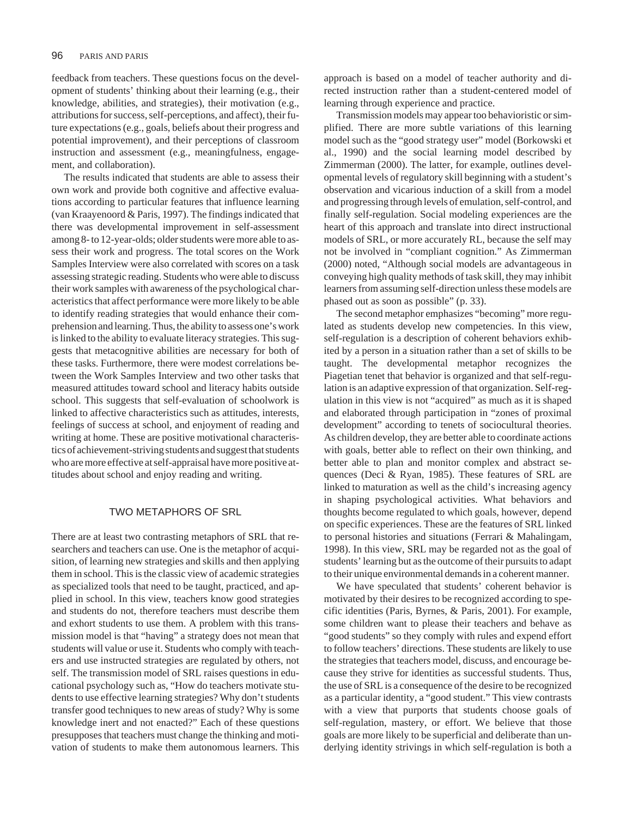feedback from teachers. These questions focus on the development of students' thinking about their learning (e.g., their knowledge, abilities, and strategies), their motivation (e.g., attributions for success, self-perceptions, and affect), their future expectations (e.g., goals, beliefs about their progress and potential improvement), and their perceptions of classroom instruction and assessment (e.g., meaningfulness, engagement, and collaboration).

The results indicated that students are able to assess their own work and provide both cognitive and affective evaluations according to particular features that influence learning (van Kraayenoord & Paris, 1997). The findings indicated that there was developmental improvement in self-assessment among 8- to 12-year-olds; older students were more able to assess their work and progress. The total scores on the Work Samples Interview were also correlated with scores on a task assessing strategic reading. Students who were able to discuss their work samples with awareness of the psychological characteristics that affect performance were more likely to be able to identify reading strategies that would enhance their comprehension and learning. Thus, the ability to assess one's work is linked to the ability to evaluate literacy strategies. This suggests that metacognitive abilities are necessary for both of these tasks. Furthermore, there were modest correlations between the Work Samples Interview and two other tasks that measured attitudes toward school and literacy habits outside school. This suggests that self-evaluation of schoolwork is linked to affective characteristics such as attitudes, interests, feelings of success at school, and enjoyment of reading and writing at home. These are positive motivational characteristics of achievement-striving students and suggest that students who are more effective at self-appraisal have more positive attitudes about school and enjoy reading and writing.

#### TWO METAPHORS OF SRL

There are at least two contrasting metaphors of SRL that researchers and teachers can use. One is the metaphor of acquisition, of learning new strategies and skills and then applying them in school. This is the classic view of academic strategies as specialized tools that need to be taught, practiced, and applied in school. In this view, teachers know good strategies and students do not, therefore teachers must describe them and exhort students to use them. A problem with this transmission model is that "having" a strategy does not mean that students will value or use it. Students who comply with teachers and use instructed strategies are regulated by others, not self. The transmission model of SRL raises questions in educational psychology such as, "How do teachers motivate students to use effective learning strategies? Why don't students transfer good techniques to new areas of study? Why is some knowledge inert and not enacted?" Each of these questions presupposes that teachers must change the thinking and motivation of students to make them autonomous learners. This

approach is based on a model of teacher authority and directed instruction rather than a student-centered model of learning through experience and practice.

Transmission models may appear too behavioristic or simplified. There are more subtle variations of this learning model such as the "good strategy user" model (Borkowski et al., 1990) and the social learning model described by Zimmerman (2000). The latter, for example, outlines developmental levels of regulatory skill beginning with a student's observation and vicarious induction of a skill from a model and progressing through levels of emulation, self-control, and finally self-regulation. Social modeling experiences are the heart of this approach and translate into direct instructional models of SRL, or more accurately RL, because the self may not be involved in "compliant cognition." As Zimmerman (2000) noted, "Although social models are advantageous in conveying high quality methods of task skill, they may inhibit learners from assuming self-direction unless these models are phased out as soon as possible" (p. 33).

The second metaphor emphasizes "becoming" more regulated as students develop new competencies. In this view, self-regulation is a description of coherent behaviors exhibited by a person in a situation rather than a set of skills to be taught. The developmental metaphor recognizes the Piagetian tenet that behavior is organized and that self-regulation is an adaptive expression of that organization. Self-regulation in this view is not "acquired" as much as it is shaped and elaborated through participation in "zones of proximal development" according to tenets of sociocultural theories. As children develop, they are better able to coordinate actions with goals, better able to reflect on their own thinking, and better able to plan and monitor complex and abstract sequences (Deci & Ryan, 1985). These features of SRL are linked to maturation as well as the child's increasing agency in shaping psychological activities. What behaviors and thoughts become regulated to which goals, however, depend on specific experiences. These are the features of SRL linked to personal histories and situations (Ferrari & Mahalingam, 1998). In this view, SRL may be regarded not as the goal of students' learning but as the outcome of their pursuits to adapt to their unique environmental demands in a coherent manner.

We have speculated that students' coherent behavior is motivated by their desires to be recognized according to specific identities (Paris, Byrnes, & Paris, 2001). For example, some children want to please their teachers and behave as "good students" so they comply with rules and expend effort to follow teachers' directions. These students are likely to use the strategies that teachers model, discuss, and encourage because they strive for identities as successful students. Thus, the use of SRL is a consequence of the desire to be recognized as a particular identity, a "good student." This view contrasts with a view that purports that students choose goals of self-regulation, mastery, or effort. We believe that those goals are more likely to be superficial and deliberate than underlying identity strivings in which self-regulation is both a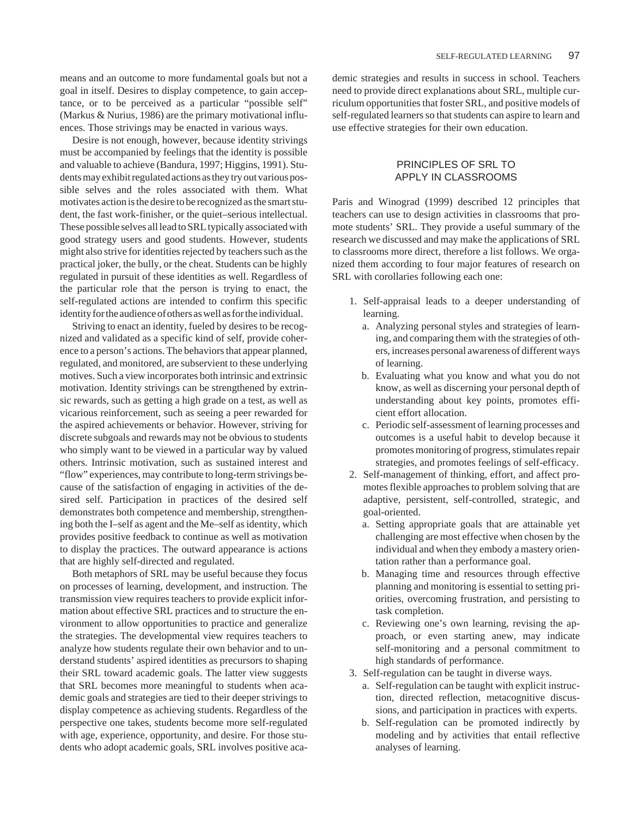means and an outcome to more fundamental goals but not a goal in itself. Desires to display competence, to gain acceptance, or to be perceived as a particular "possible self" (Markus & Nurius, 1986) are the primary motivational influences. Those strivings may be enacted in various ways.

Desire is not enough, however, because identity strivings must be accompanied by feelings that the identity is possible and valuable to achieve (Bandura, 1997; Higgins, 1991). Students may exhibit regulated actions as they try out various possible selves and the roles associated with them. What motivates action is the desire to be recognized as the smart student, the fast work-finisher, or the quiet–serious intellectual. These possible selves all lead to SRL typically associated with good strategy users and good students. However, students might also strive for identities rejected by teachers such as the practical joker, the bully, or the cheat. Students can be highly regulated in pursuit of these identities as well. Regardless of the particular role that the person is trying to enact, the self-regulated actions are intended to confirm this specific identity for the audience of others as well as for the individual.

Striving to enact an identity, fueled by desires to be recognized and validated as a specific kind of self, provide coherence to a person's actions. The behaviors that appear planned, regulated, and monitored, are subservient to these underlying motives. Such a view incorporates both intrinsic and extrinsic motivation. Identity strivings can be strengthened by extrinsic rewards, such as getting a high grade on a test, as well as vicarious reinforcement, such as seeing a peer rewarded for the aspired achievements or behavior. However, striving for discrete subgoals and rewards may not be obvious to students who simply want to be viewed in a particular way by valued others. Intrinsic motivation, such as sustained interest and "flow" experiences, may contribute to long-term strivings because of the satisfaction of engaging in activities of the desired self. Participation in practices of the desired self demonstrates both competence and membership, strengthening both the I–self as agent and the Me–self as identity, which provides positive feedback to continue as well as motivation to display the practices. The outward appearance is actions that are highly self-directed and regulated.

Both metaphors of SRL may be useful because they focus on processes of learning, development, and instruction. The transmission view requires teachers to provide explicit information about effective SRL practices and to structure the environment to allow opportunities to practice and generalize the strategies. The developmental view requires teachers to analyze how students regulate their own behavior and to understand students' aspired identities as precursors to shaping their SRL toward academic goals. The latter view suggests that SRL becomes more meaningful to students when academic goals and strategies are tied to their deeper strivings to display competence as achieving students. Regardless of the perspective one takes, students become more self-regulated with age, experience, opportunity, and desire. For those students who adopt academic goals, SRL involves positive academic strategies and results in success in school. Teachers need to provide direct explanations about SRL, multiple curriculum opportunities that foster SRL, and positive models of self-regulated learners so that students can aspire to learn and use effective strategies for their own education.

## PRINCIPLES OF SRL TO APPLY IN CLASSROOMS

Paris and Winograd (1999) described 12 principles that teachers can use to design activities in classrooms that promote students' SRL. They provide a useful summary of the research we discussed and may make the applications of SRL to classrooms more direct, therefore a list follows. We organized them according to four major features of research on SRL with corollaries following each one:

- 1. Self-appraisal leads to a deeper understanding of learning.
	- a. Analyzing personal styles and strategies of learning, and comparing them with the strategies of others, increases personal awareness of different ways of learning.
	- b. Evaluating what you know and what you do not know, as well as discerning your personal depth of understanding about key points, promotes efficient effort allocation.
	- c. Periodic self-assessment of learning processes and outcomes is a useful habit to develop because it promotes monitoring of progress, stimulates repair strategies, and promotes feelings of self-efficacy.
- 2. Self-management of thinking, effort, and affect promotes flexible approaches to problem solving that are adaptive, persistent, self-controlled, strategic, and goal-oriented.
	- a. Setting appropriate goals that are attainable yet challenging are most effective when chosen by the individual and when they embody a mastery orientation rather than a performance goal.
	- b. Managing time and resources through effective planning and monitoring is essential to setting priorities, overcoming frustration, and persisting to task completion.
	- c. Reviewing one's own learning, revising the approach, or even starting anew, may indicate self-monitoring and a personal commitment to high standards of performance.
- 3. Self-regulation can be taught in diverse ways.
	- a. Self-regulation can be taught with explicit instruction, directed reflection, metacognitive discussions, and participation in practices with experts.
	- b. Self-regulation can be promoted indirectly by modeling and by activities that entail reflective analyses of learning.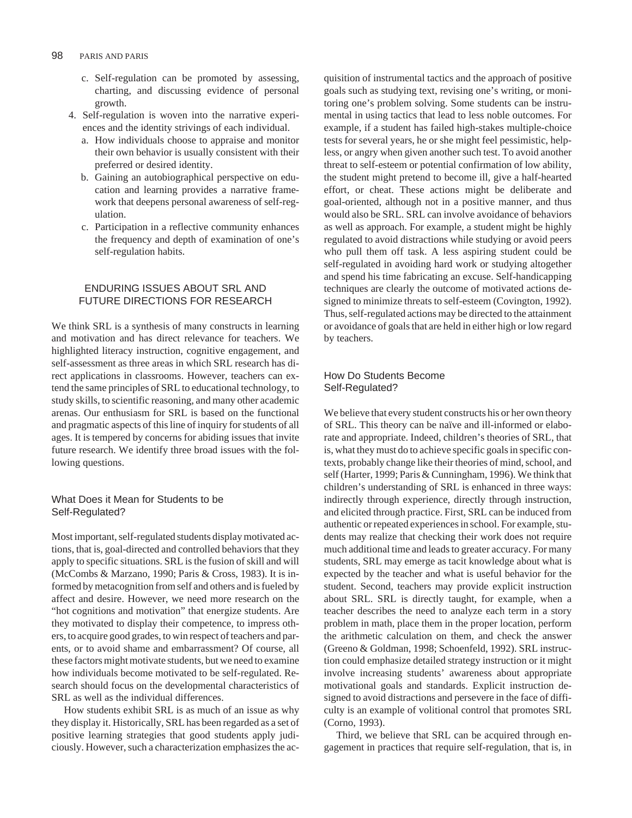- c. Self-regulation can be promoted by assessing, charting, and discussing evidence of personal growth.
- 4. Self-regulation is woven into the narrative experiences and the identity strivings of each individual.
	- a. How individuals choose to appraise and monitor their own behavior is usually consistent with their preferred or desired identity.
	- b. Gaining an autobiographical perspective on education and learning provides a narrative framework that deepens personal awareness of self-regulation.
	- c. Participation in a reflective community enhances the frequency and depth of examination of one's self-regulation habits.

## ENDURING ISSUES ABOUT SRL AND FUTURE DIRECTIONS FOR RESEARCH

We think SRL is a synthesis of many constructs in learning and motivation and has direct relevance for teachers. We highlighted literacy instruction, cognitive engagement, and self-assessment as three areas in which SRL research has direct applications in classrooms. However, teachers can extend the same principles of SRL to educational technology, to study skills, to scientific reasoning, and many other academic arenas. Our enthusiasm for SRL is based on the functional and pragmatic aspects of this line of inquiry for students of all ages. It is tempered by concerns for abiding issues that invite future research. We identify three broad issues with the following questions.

## What Does it Mean for Students to be Self-Regulated?

Most important, self-regulated students display motivated actions, that is, goal-directed and controlled behaviors that they apply to specific situations. SRL is the fusion of skill and will (McCombs & Marzano, 1990; Paris & Cross, 1983). It is informed by metacognition from self and others and is fueled by affect and desire. However, we need more research on the "hot cognitions and motivation" that energize students. Are they motivated to display their competence, to impress others, to acquire good grades, to win respect of teachers and parents, or to avoid shame and embarrassment? Of course, all these factors might motivate students, but we need to examine how individuals become motivated to be self-regulated. Research should focus on the developmental characteristics of SRL as well as the individual differences.

How students exhibit SRL is as much of an issue as why they display it. Historically, SRL has been regarded as a set of positive learning strategies that good students apply judiciously. However, such a characterization emphasizes the acquisition of instrumental tactics and the approach of positive goals such as studying text, revising one's writing, or monitoring one's problem solving. Some students can be instrumental in using tactics that lead to less noble outcomes. For example, if a student has failed high-stakes multiple-choice tests for several years, he or she might feel pessimistic, helpless, or angry when given another such test. To avoid another threat to self-esteem or potential confirmation of low ability, the student might pretend to become ill, give a half-hearted effort, or cheat. These actions might be deliberate and goal-oriented, although not in a positive manner, and thus would also be SRL. SRL can involve avoidance of behaviors as well as approach. For example, a student might be highly regulated to avoid distractions while studying or avoid peers who pull them off task. A less aspiring student could be self-regulated in avoiding hard work or studying altogether and spend his time fabricating an excuse. Self-handicapping techniques are clearly the outcome of motivated actions designed to minimize threats to self-esteem (Covington, 1992). Thus, self-regulated actions may be directed to the attainment or avoidance of goals that are held in either high or low regard by teachers.

## How Do Students Become Self-Regulated?

We believe that every student constructs his or her own theory of SRL. This theory can be naïve and ill-informed or elaborate and appropriate. Indeed, children's theories of SRL, that is, what they must do to achieve specific goals in specific contexts, probably change like their theories of mind, school, and self (Harter, 1999; Paris & Cunningham, 1996). We think that children's understanding of SRL is enhanced in three ways: indirectly through experience, directly through instruction, and elicited through practice. First, SRL can be induced from authentic or repeated experiences in school. For example, students may realize that checking their work does not require much additional time and leads to greater accuracy. For many students, SRL may emerge as tacit knowledge about what is expected by the teacher and what is useful behavior for the student. Second, teachers may provide explicit instruction about SRL. SRL is directly taught, for example, when a teacher describes the need to analyze each term in a story problem in math, place them in the proper location, perform the arithmetic calculation on them, and check the answer (Greeno & Goldman, 1998; Schoenfeld, 1992). SRL instruction could emphasize detailed strategy instruction or it might involve increasing students' awareness about appropriate motivational goals and standards. Explicit instruction designed to avoid distractions and persevere in the face of difficulty is an example of volitional control that promotes SRL (Corno, 1993).

Third, we believe that SRL can be acquired through engagement in practices that require self-regulation, that is, in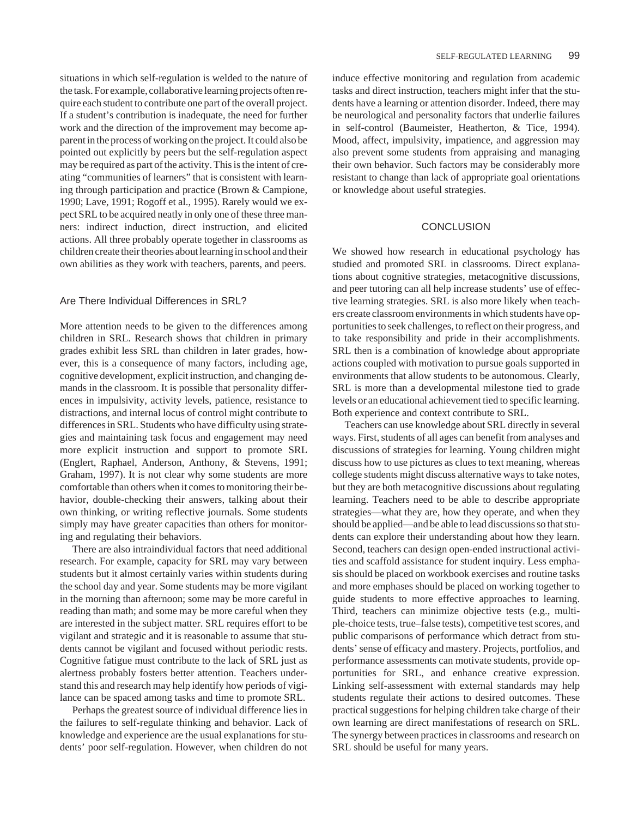situations in which self-regulation is welded to the nature of the task. For example, collaborative learning projects often require each student to contribute one part of the overall project. If a student's contribution is inadequate, the need for further work and the direction of the improvement may become apparent in the process of working on the project. It could also be pointed out explicitly by peers but the self-regulation aspect may be required as part of the activity. This is the intent of creating "communities of learners" that is consistent with learning through participation and practice (Brown & Campione, 1990; Lave, 1991; Rogoff et al., 1995). Rarely would we expect SRL to be acquired neatly in only one of these three manners: indirect induction, direct instruction, and elicited actions. All three probably operate together in classrooms as children create their theories about learning in school and their own abilities as they work with teachers, parents, and peers.

## Are There Individual Differences in SRL?

More attention needs to be given to the differences among children in SRL. Research shows that children in primary grades exhibit less SRL than children in later grades, however, this is a consequence of many factors, including age, cognitive development, explicit instruction, and changing demands in the classroom. It is possible that personality differences in impulsivity, activity levels, patience, resistance to distractions, and internal locus of control might contribute to differences in SRL. Students who have difficulty using strategies and maintaining task focus and engagement may need more explicit instruction and support to promote SRL (Englert, Raphael, Anderson, Anthony, & Stevens, 1991; Graham, 1997). It is not clear why some students are more comfortable than others when it comes to monitoring their behavior, double-checking their answers, talking about their own thinking, or writing reflective journals. Some students simply may have greater capacities than others for monitoring and regulating their behaviors.

There are also intraindividual factors that need additional research. For example, capacity for SRL may vary between students but it almost certainly varies within students during the school day and year. Some students may be more vigilant in the morning than afternoon; some may be more careful in reading than math; and some may be more careful when they are interested in the subject matter. SRL requires effort to be vigilant and strategic and it is reasonable to assume that students cannot be vigilant and focused without periodic rests. Cognitive fatigue must contribute to the lack of SRL just as alertness probably fosters better attention. Teachers understand this and research may help identify how periods of vigilance can be spaced among tasks and time to promote SRL.

Perhaps the greatest source of individual difference lies in the failures to self-regulate thinking and behavior. Lack of knowledge and experience are the usual explanations for students' poor self-regulation. However, when children do not

induce effective monitoring and regulation from academic tasks and direct instruction, teachers might infer that the students have a learning or attention disorder. Indeed, there may be neurological and personality factors that underlie failures in self-control (Baumeister, Heatherton, & Tice, 1994). Mood, affect, impulsivity, impatience, and aggression may also prevent some students from appraising and managing their own behavior. Such factors may be considerably more resistant to change than lack of appropriate goal orientations or knowledge about useful strategies.

#### **CONCLUSION**

We showed how research in educational psychology has studied and promoted SRL in classrooms. Direct explanations about cognitive strategies, metacognitive discussions, and peer tutoring can all help increase students' use of effective learning strategies. SRL is also more likely when teachers create classroom environments in which students have opportunities to seek challenges, to reflect on their progress, and to take responsibility and pride in their accomplishments. SRL then is a combination of knowledge about appropriate actions coupled with motivation to pursue goals supported in environments that allow students to be autonomous. Clearly, SRL is more than a developmental milestone tied to grade levels or an educational achievement tied to specific learning. Both experience and context contribute to SRL.

Teachers can use knowledge about SRL directly in several ways. First, students of all ages can benefit from analyses and discussions of strategies for learning. Young children might discuss how to use pictures as clues to text meaning, whereas college students might discuss alternative ways to take notes, but they are both metacognitive discussions about regulating learning. Teachers need to be able to describe appropriate strategies—what they are, how they operate, and when they should be applied—and be able to lead discussions so that students can explore their understanding about how they learn. Second, teachers can design open-ended instructional activities and scaffold assistance for student inquiry. Less emphasis should be placed on workbook exercises and routine tasks and more emphases should be placed on working together to guide students to more effective approaches to learning. Third, teachers can minimize objective tests (e.g., multiple-choice tests, true–false tests), competitive test scores, and public comparisons of performance which detract from students' sense of efficacy and mastery. Projects, portfolios, and performance assessments can motivate students, provide opportunities for SRL, and enhance creative expression. Linking self-assessment with external standards may help students regulate their actions to desired outcomes. These practical suggestions for helping children take charge of their own learning are direct manifestations of research on SRL. The synergy between practices in classrooms and research on SRL should be useful for many years.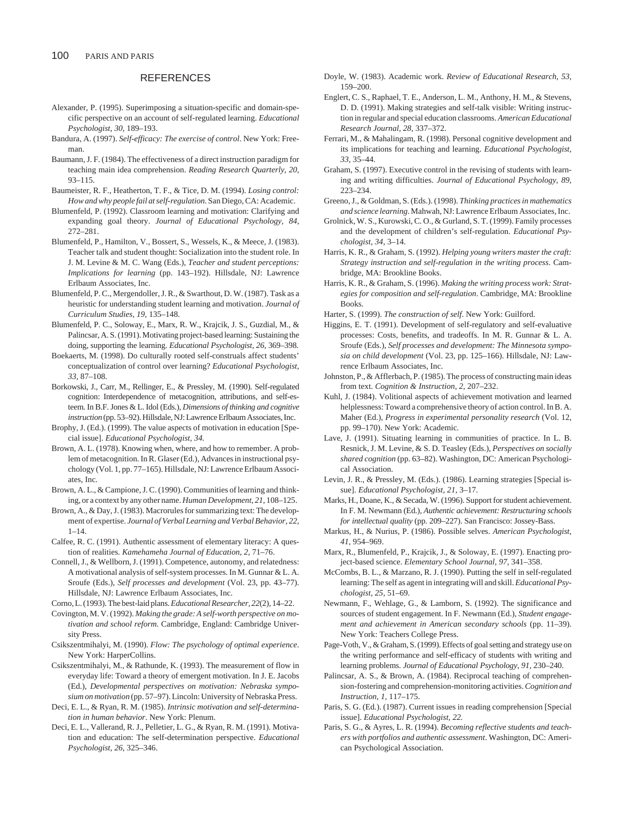#### **REFERENCES**

- Alexander, P. (1995). Superimposing a situation-specific and domain-specific perspective on an account of self-regulated learning. *Educational Psychologist*, *30,* 189–193.
- Bandura, A. (1997). *Self-efficacy: The exercise of control*. New York: Freeman.
- Baumann, J. F. (1984). The effectiveness of a direct instruction paradigm for teaching main idea comprehension. *Reading Research Quarterly*, *20,* 93–115.
- Baumeister, R. F., Heatherton, T. F., & Tice, D. M. (1994). *Losing control: How and why people fail at self-regulation*. San Diego, CA: Academic.
- Blumenfeld, P. (1992). Classroom learning and motivation: Clarifying and expanding goal theory. *Journal of Educational Psychology, 84,* 272–281.
- Blumenfeld, P., Hamilton, V., Bossert, S., Wessels, K., & Meece, J. (1983). Teacher talk and student thought: Socialization into the student role. In J. M. Levine & M. C. Wang (Eds.), *Teacher and student perceptions: Implications for learning* (pp. 143–192). Hillsdale, NJ: Lawrence Erlbaum Associates, Inc.
- Blumenfeld, P. C., Mergendoller, J. R., & Swarthout, D. W. (1987). Task as a heuristic for understanding student learning and motivation. *Journal of Curriculum Studies, 19,* 135–148.
- Blumenfeld, P. C., Soloway, E., Marx, R. W., Krajcik, J. S., Guzdial, M., & Palincsar, A. S. (1991). Motivating project-based learning: Sustaining the doing, supporting the learning. *Educational Psychologist*, *26*, 369–398.
- Boekaerts, M. (1998). Do culturally rooted self-construals affect students' conceptualization of control over learning? *Educational Psychologist*, *33,* 87–108.
- Borkowski, J., Carr, M., Rellinger, E., & Pressley, M. (1990). Self-regulated cognition: Interdependence of metacognition, attributions, and self-esteem. In B.F. Jones & L. Idol (Eds.), *Dimensions of thinking and cognitive instruction* (pp. 53–92). Hillsdale, NJ: Lawrence Erlbaum Associates, Inc.
- Brophy, J. (Ed.). (1999). The value aspects of motivation in education [Special issue]. *Educational Psychologist, 34.*
- Brown, A. L. (1978). Knowing when, where, and how to remember. A problem of metacognition. In R. Glaser (Ed.), Advances in instructional psychology (Vol. 1, pp. 77–165). Hillsdale, NJ: Lawrence Erlbaum Associates, Inc.
- Brown, A. L., & Campione, J. C. (1990). Communities of learning and thinking, or a context by any other name. *Human Development*, *21*, 108–125.
- Brown, A., & Day, J. (1983). Macrorules for summarizing text: The development of expertise. *Journal of Verbal Learning and Verbal Behavior*, *22*,  $1 - 14.$
- Calfee, R. C. (1991). Authentic assessment of elementary literacy: A question of realities. *Kamehameha Journal of Education*, *2,* 71–76.
- Connell, J., & Wellborn, J. (1991). Competence, autonomy, and relatedness: A motivational analysis of self-system processes. In M. Gunnar & L. A. Sroufe (Eds.), *Self processes and development* (Vol. 23, pp. 43–77). Hillsdale, NJ: Lawrence Erlbaum Associates, Inc.
- Corno, L. (1993). The best-laid plans.*Educational Researcher, 22*(2), 14–22.
- Covington, M. V. (1992). *Making the grade: A self-worth perspective on motivation and school reform.* Cambridge, England: Cambridge University Press.
- Csikszentmihalyi, M. (1990). *Flow: The psychology of optimal experience*. New York: HarperCollins.
- Csikszentmihalyi, M., & Rathunde, K. (1993). The measurement of flow in everyday life: Toward a theory of emergent motivation. In J. E. Jacobs (Ed.), *Developmental perspectives on motivation: Nebraska symposium on motivation* (pp. 57–97). Lincoln: University of Nebraska Press.
- Deci, E. L., & Ryan, R. M. (1985). *Intrinsic motivation and self-determination in human behavior*. New York: Plenum.
- Deci, E. L., Vallerand, R. J., Pelletier, L. G., & Ryan, R. M. (1991). Motivation and education: The self-determination perspective. *Educational Psychologist*, *26*, 325–346.
- Doyle, W. (1983). Academic work. *Review of Educational Research, 53*, 159–200.
- Englert, C. S., Raphael, T. E., Anderson, L. M., Anthony, H. M., & Stevens, D. D. (1991). Making strategies and self-talk visible: Writing instruction in regular and special education classrooms. *American Educational Research Journal*, *28*, 337–372.
- Ferrari, M., & Mahalingam, R. (1998). Personal cognitive development and its implications for teaching and learning. *Educational Psychologist, 33,* 35–44.
- Graham, S. (1997). Executive control in the revising of students with learning and writing difficulties. *Journal of Educational Psychology*, *89,* 223–234.
- Greeno, J., & Goldman, S. (Eds.). (1998). *Thinking practices in mathematics and science learning*. Mahwah, NJ: Lawrence Erlbaum Associates, Inc.
- Grolnick, W. S., Kurowski, C. O., & Gurland, S. T. (1999). Family processes and the development of children's self-regulation. *Educational Psychologist, 34,* 3–14.
- Harris, K. R., & Graham, S. (1992). *Helping young writers master the craft: Strategy instruction and self-regulation in the writing process*. Cambridge, MA: Brookline Books.
- Harris, K. R., & Graham, S. (1996). *Making the writing process work: Strategies for composition and self-regulation*. Cambridge, MA: Brookline Books.
- Harter, S. (1999). *The construction of self*. New York: Guilford.
- Higgins, E. T. (1991). Development of self-regulatory and self-evaluative processes: Costs, benefits, and tradeoffs. In M. R. Gunnar & L. A. Sroufe (Eds.), *Self processes and development: The Minnesota symposia on child development* (Vol. 23, pp. 125–166). Hillsdale, NJ: Lawrence Erlbaum Associates, Inc.
- Johnston, P., & Afflerbach, P. (1985). The process of constructing main ideas from text. *Cognition & Instruction*, *2*, 207–232.
- Kuhl, J. (1984). Volitional aspects of achievement motivation and learned helplessness: Toward a comprehensive theory of action control. In B. A. Maher (Ed.), *Progress in experimental personality research* (Vol. 12, pp. 99–170). New York: Academic*.*
- Lave, J. (1991). Situating learning in communities of practice. In L. B. Resnick, J. M. Levine, & S. D. Teasley (Eds.), *Perspectives on socially shared cognition* (pp. 63–82). Washington, DC: American Psychological Association.
- Levin, J. R., & Pressley, M. (Eds.). (1986). Learning strategies [Special issue]. *Educational Psychologist, 21,* 3–17.
- Marks, H., Doane, K., & Secada, W. (1996). Support for student achievement. In F. M. Newmann (Ed.), *Authentic achievement: Restructuring schools for intellectual quality* (pp. 209–227). San Francisco: Jossey-Bass.
- Markus, H., & Nurius, P. (1986). Possible selves. *American Psychologist, 41,* 954–969.
- Marx, R., Blumenfeld, P., Krajcik, J., & Soloway, E. (1997). Enacting project-based science. *Elementary School Journal*, *97,* 341–358.
- McCombs, B. L., & Marzano, R. J. (1990). Putting the self in self-regulated learning: The self as agent in integrating will and skill. *Educational Psychologist, 25,* 51–69.
- Newmann, F., Wehlage, G., & Lamborn, S. (1992). The significance and sources of student engagement. In F. Newmann (Ed.), *Student engagement and achievement in American secondary schools* (pp. 11–39). New York: Teachers College Press.
- Page-Voth, V., & Graham, S. (1999). Effects of goal setting and strategy use on the writing performance and self-efficacy of students with writing and learning problems. *Journal of Educational Psychology*, *91,* 230–240.
- Palincsar, A. S., & Brown, A. (1984). Reciprocal teaching of comprehension-fostering and comprehension-monitoring activities.*Cognition and Instruction*, *1*, 117–175.
- Paris, S. G. (Ed.). (1987). Current issues in reading comprehension [Special issue]. *Educational Psychologist, 22.*
- Paris, S. G., & Ayres, L. R. (1994). *Becoming reflective students and teachers with portfolios and authentic assessment*. Washington, DC: American Psychological Association.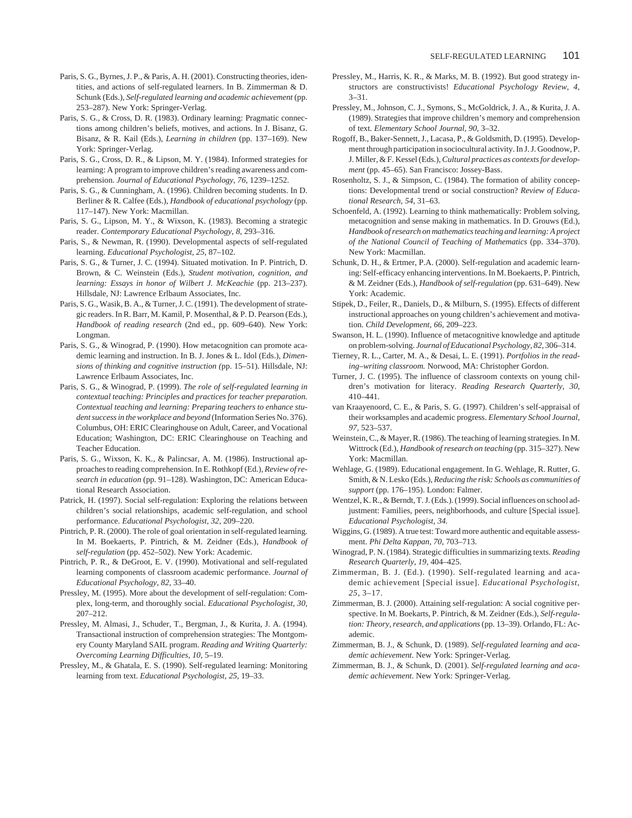- Paris, S. G., Byrnes, J. P., & Paris, A. H. (2001). Constructing theories, identities, and actions of self-regulated learners. In B. Zimmerman & D. Schunk (Eds.), *Self-regulated learning and academic achievement* (pp. 253–287). New York: Springer-Verlag.
- Paris, S. G., & Cross, D. R. (1983). Ordinary learning: Pragmatic connections among children's beliefs, motives, and actions. In J. Bisanz, G. Bisanz, & R. Kail (Eds.), *Learning in children* (pp. 137–169). New York: Springer-Verlag.
- Paris, S. G., Cross, D. R., & Lipson, M. Y. (1984). Informed strategies for learning: A program to improve children's reading awareness and comprehension. *Journal of Educational Psychology*, *76*, 1239–1252.
- Paris, S. G., & Cunningham, A. (1996). Children becoming students. In D. Berliner & R. Calfee (Eds.), *Handbook of educational psychology* (pp. 117–147). New York: Macmillan.
- Paris, S. G., Lipson, M. Y., & Wixson, K. (1983). Becoming a strategic reader. *Contemporary Educational Psychology*, *8*, 293–316.
- Paris, S., & Newman, R. (1990). Developmental aspects of self-regulated learning. *Educational Psychologist, 25*, 87–102.
- Paris, S. G., & Turner, J. C. (1994). Situated motivation. In P. Pintrich, D. Brown, & C. Weinstein (Eds.), *Student motivation, cognition, and learning: Essays in honor of Wilbert J. McKeachie* (pp. 213–237). Hillsdale, NJ: Lawrence Erlbaum Associates, Inc.
- Paris, S. G., Wasik, B. A., & Turner, J. C. (1991). The development of strategic readers. In R. Barr, M. Kamil, P. Mosenthal, & P. D. Pearson (Eds.), *Handbook of reading research* (2nd ed., pp. 609–640). New York: Longman.
- Paris, S. G., & Winograd, P. (1990). How metacognition can promote academic learning and instruction. In B. J. Jones & L. Idol (Eds.), *Dimensions of thinking and cognitive instruction (*pp. 15–51). Hillsdale, NJ: Lawrence Erlbaum Associates, Inc.
- Paris, S. G., & Winograd, P. (1999). *The role of self-regulated learning in contextual teaching: Principles and practices for teacher preparation. Contextual teaching and learning: Preparing teachers to enhance student success in the workplace and beyond* (Information Series No. 376). Columbus, OH: ERIC Clearinghouse on Adult, Career, and Vocational Education; Washington, DC: ERIC Clearinghouse on Teaching and Teacher Education.
- Paris, S. G., Wixson, K. K., & Palincsar, A. M. (1986). Instructional approaches to reading comprehension. In E. Rothkopf (Ed.), *Review of research in education* (pp. 91–128). Washington, DC: American Educational Research Association.
- Patrick, H. (1997). Social self-regulation: Exploring the relations between children's social relationships, academic self-regulation, and school performance. *Educational Psychologist, 32*, 209–220.
- Pintrich, P. R. (2000). The role of goal orientation in self-regulated learning. In M. Boekaerts, P. Pintrich, & M. Zeidner (Eds.), *Handbook of self-regulation* (pp. 452–502). New York: Academic.
- Pintrich, P. R., & DeGroot, E. V. (1990). Motivational and self-regulated learning components of classroom academic performance. *Journal of Educational Psychology, 82,* 33–40.
- Pressley, M. (1995). More about the development of self-regulation: Complex, long-term, and thoroughly social. *Educational Psychologist, 30,* 207–212.
- Pressley, M. Almasi, J., Schuder, T., Bergman, J., & Kurita, J. A. (1994). Transactional instruction of comprehension strategies: The Montgomery County Maryland SAIL program. *Reading and Writing Quarterly: Overcoming Learning Difficulties*, *10,* 5–19.
- Pressley, M., & Ghatala, E. S. (1990). Self-regulated learning: Monitoring learning from text. *Educational Psychologist, 25,* 19–33.
- Pressley, M., Harris, K. R., & Marks, M. B. (1992). But good strategy instructors are constructivists! *Educational Psychology Review*, *4,* 3–31.
- Pressley, M., Johnson, C. J., Symons, S., McGoldrick, J. A., & Kurita, J. A. (1989). Strategies that improve children's memory and comprehension of text*. Elementary School Journal, 90,* 3–32.
- Rogoff, B., Baker-Sennett, J., Lacasa, P., & Goldsmith, D. (1995). Development through participation in sociocultural activity. In J. J. Goodnow, P. J. Miller, & F. Kessel (Eds.), *Cultural practices as contexts for development* (pp. 45–65). San Francisco: Jossey-Bass.
- Rosenholtz, S. J., & Simpson, C. (1984). The formation of ability conceptions: Developmental trend or social construction? *Review of Educational Research*, *54*, 31–63.
- Schoenfeld, A. (1992). Learning to think mathematically: Problem solving, metacognition and sense making in mathematics. In D. Grouws (Ed.), *Handbook of research on mathematics teaching and learning: A project of the National Council of Teaching of Mathematics* (pp. 334–370). New York: Macmillan.
- Schunk, D. H., & Ertmer, P.A. (2000). Self-regulation and academic learning: Self-efficacy enhancing interventions. In M. Boekaerts, P. Pintrich, & M. Zeidner (Eds.), *Handbook of self-regulation* (pp. 631–649). New York: Academic.
- Stipek, D., Feiler, R., Daniels, D., & Milburn, S. (1995). Effects of different instructional approaches on young children's achievement and motivation. *Child Development*, *66*, 209–223.
- Swanson, H. L. (1990). Influence of metacognitive knowledge and aptitude on problem-solving. *Journal of Educational Psychology*, *82*, 306–314.
- Tierney, R. L., Carter, M. A., & Desai, L. E. (1991). *Portfolios in the reading–writing classroom.* Norwood, MA: Christopher Gordon.
- Turner, J. C. (1995). The influence of classroom contexts on young children's motivation for literacy. *Reading Research Quarterly, 30*, 410–441.
- van Kraayenoord, C. E., & Paris, S. G. (1997). Children's self-appraisal of their worksamples and academic progress. *Elementary School Journal, 97,* 523–537.
- Weinstein, C., & Mayer, R. (1986). The teaching of learning strategies. In M. Wittrock (Ed.), *Handbook of research on teaching* (pp. 315–327). New York: Macmillan.
- Wehlage, G. (1989). Educational engagement. In G. Wehlage, R. Rutter, G. Smith, & N. Lesko (Eds.), *Reducing the risk: Schools as communities of support* (pp. 176–195). London: Falmer.
- Wentzel, K. R., & Berndt, T. J. (Eds.). (1999). Social influences on school adjustment: Families, peers, neighborhoods, and culture [Special issue]. *Educational Psychologist, 34.*
- Wiggins, G. (1989). A true test: Toward more authentic and equitable assessment. *Phi Delta Kappan*, *70*, 703–713.
- Winograd, P. N. (1984). Strategic difficulties in summarizing texts. *Reading Research Quarterly*, *19*, 404–425.
- Zimmerman, B. J. (Ed.). (1990). Self-regulated learning and academic achievement [Special issue]. *Educational Psychologist*, *25,* 3–17.
- Zimmerman, B. J. (2000). Attaining self-regulation: A social cognitive perspective. In M. Boekarts, P. Pintrich, & M. Zeidner (Eds.), *Self-regulation: Theory, research, and applications*(pp. 13–39). Orlando, FL: Academic.
- Zimmerman, B. J., & Schunk, D. (1989). *Self-regulated learning and academic achievement*. New York: Springer-Verlag.
- Zimmerman, B. J., & Schunk, D. (2001). *Self-regulated learning and academic achievement*. New York: Springer-Verlag.